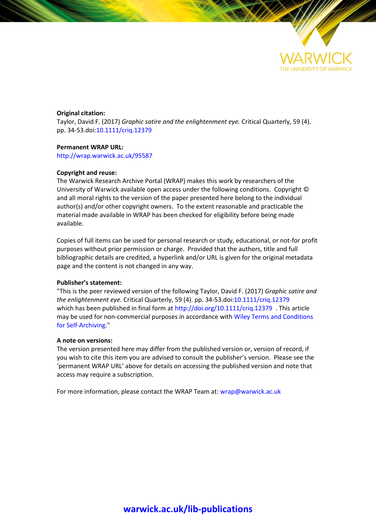

## **Original citation:**

Taylor, David F. (2017) *Graphic satire and the enlightenment eye.* Critical Quarterly, 59 (4). pp. 34-53.doi[:10.1111/criq.12379](http://dx.doi.org/10.1111/criq.12379)

#### **Permanent WRAP URL:**

<http://wrap.warwick.ac.uk/95587>

#### **Copyright and reuse:**

The Warwick Research Archive Portal (WRAP) makes this work by researchers of the University of Warwick available open access under the following conditions. Copyright © and all moral rights to the version of the paper presented here belong to the individual author(s) and/or other copyright owners. To the extent reasonable and practicable the material made available in WRAP has been checked for eligibility before being made available.

Copies of full items can be used for personal research or study, educational, or not-for profit purposes without prior permission or charge. Provided that the authors, title and full bibliographic details are credited, a hyperlink and/or URL is given for the original metadata page and the content is not changed in any way.

#### **Publisher's statement:**

"This is the peer reviewed version of the following Taylor, David F. (2017) *Graphic satire and the enlightenment eye.* Critical Quarterly, 59 (4). pp. 34-53.doi[:10.1111/criq.12379](http://dx.doi.org/10.1111/criq.12379) which has been published in final form at <http://doi.org/10.1111/criq.12379> . This article may be used for non-commercial purposes in accordance with Wiley Terms and [Conditions](http://olabout.wiley.com/WileyCDA/Section/id-820227.html#terms) for [Self-Archiving.](http://olabout.wiley.com/WileyCDA/Section/id-820227.html#terms)"

### **A note on versions:**

The version presented here may differ from the published version or, version of record, if you wish to cite this item you are advised to consult the publisher's version. Please see the 'permanent WRAP URL' above for details on accessing the published version and note that access may require a subscription.

For more information, please contact the WRAP Team at[: wrap@warwick.ac.uk](mailto:wrap@warwick.ac.uk)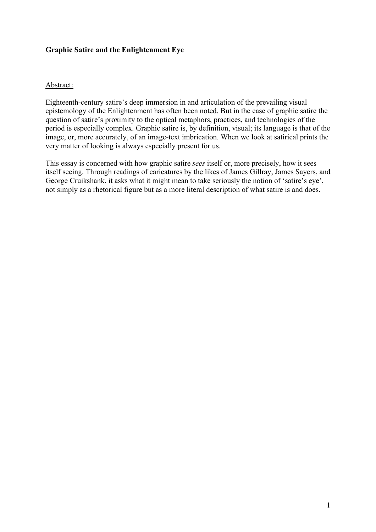# **Graphic Satire and the Enlightenment Eye**

## Abstract:

Eighteenth-century satire's deep immersion in and articulation of the prevailing visual epistemology of the Enlightenment has often been noted. But in the case of graphic satire the question of satire's proximity to the optical metaphors, practices, and technologies of the period is especially complex. Graphic satire is, by definition, visual; its language is that of the image, or, more accurately, of an image-text imbrication. When we look at satirical prints the very matter of looking is always especially present for us.

This essay is concerned with how graphic satire *sees* itself or, more precisely, how it sees itself seeing. Through readings of caricatures by the likes of James Gillray, James Sayers, and George Cruikshank, it asks what it might mean to take seriously the notion of 'satire's eye', not simply as a rhetorical figure but as a more literal description of what satire is and does.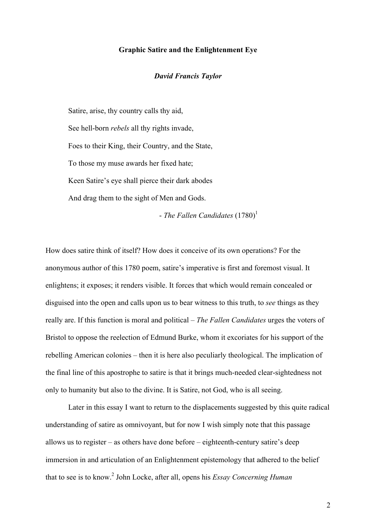## **Graphic Satire and the Enlightenment Eye**

### *David Francis Taylor*

Satire, arise, thy country calls thy aid, See hell-born *rebels* all thy rights invade, Foes to their King, their Country, and the State, To those my muse awards her fixed hate; Keen Satire's eye shall pierce their dark abodes And drag them to the sight of Men and Gods.

- *The Fallen Candidates*  $(1780)^1$ 

How does satire think of itself? How does it conceive of its own operations? For the anonymous author of this 1780 poem, satire's imperative is first and foremost visual. It enlightens; it exposes; it renders visible. It forces that which would remain concealed or disguised into the open and calls upon us to bear witness to this truth, to *see* things as they really are. If this function is moral and political – *The Fallen Candidates* urges the voters of Bristol to oppose the reelection of Edmund Burke, whom it excoriates for his support of the rebelling American colonies – then it is here also peculiarly theological. The implication of the final line of this apostrophe to satire is that it brings much-needed clear-sightedness not only to humanity but also to the divine. It is Satire, not God, who is all seeing.

Later in this essay I want to return to the displacements suggested by this quite radical understanding of satire as omnivoyant, but for now I wish simply note that this passage allows us to register – as others have done before – eighteenth-century satire's deep immersion in and articulation of an Enlightenment epistemology that adhered to the belief that to see is to know. <sup>2</sup> John Locke, after all, opens his *Essay Concerning Human*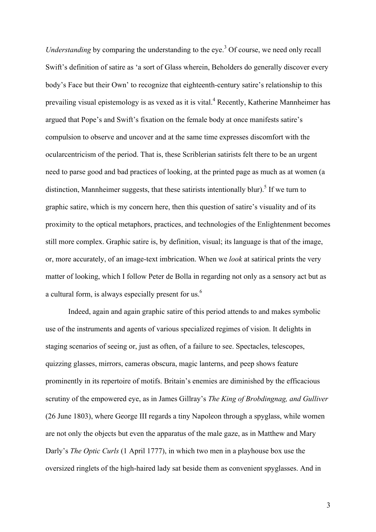*Understanding* by comparing the understanding to the eye.<sup>3</sup> Of course, we need only recall Swift's definition of satire as 'a sort of Glass wherein, Beholders do generally discover every body's Face but their Own' to recognize that eighteenth-century satire's relationship to this prevailing visual epistemology is as vexed as it is vital.<sup>4</sup> Recently, Katherine Mannheimer has argued that Pope's and Swift's fixation on the female body at once manifests satire's compulsion to observe and uncover and at the same time expresses discomfort with the ocularcentricism of the period. That is, these Scriblerian satirists felt there to be an urgent need to parse good and bad practices of looking, at the printed page as much as at women (a distinction, Mannheimer suggests, that these satirists intentionally blur).<sup>5</sup> If we turn to graphic satire, which is my concern here, then this question of satire's visuality and of its proximity to the optical metaphors, practices, and technologies of the Enlightenment becomes still more complex. Graphic satire is, by definition, visual; its language is that of the image, or, more accurately, of an image-text imbrication. When we *look* at satirical prints the very matter of looking, which I follow Peter de Bolla in regarding not only as a sensory act but as a cultural form, is always especially present for us.<sup>6</sup>

Indeed, again and again graphic satire of this period attends to and makes symbolic use of the instruments and agents of various specialized regimes of vision. It delights in staging scenarios of seeing or, just as often, of a failure to see. Spectacles, telescopes, quizzing glasses, mirrors, cameras obscura, magic lanterns, and peep shows feature prominently in its repertoire of motifs. Britain's enemies are diminished by the efficacious scrutiny of the empowered eye, as in James Gillray's *The King of Brobdingnag, and Gulliver* (26 June 1803), where George III regards a tiny Napoleon through a spyglass, while women are not only the objects but even the apparatus of the male gaze, as in Matthew and Mary Darly's *The Optic Curls* (1 April 1777), in which two men in a playhouse box use the oversized ringlets of the high-haired lady sat beside them as convenient spyglasses. And in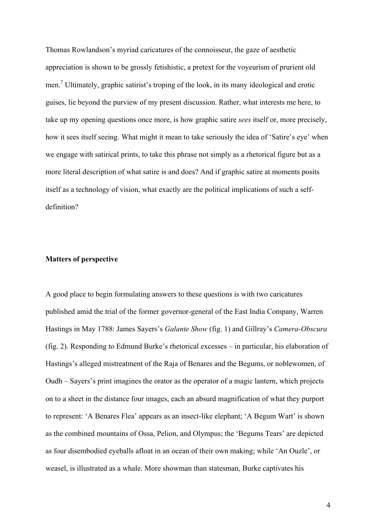Thomas Rowlandson's myriad caricatures of the connoisseur, the gaze of aesthetic appreciation is shown to be grossly fetishistic, a pretext for the voyeurism of prurient old men.<sup>7</sup> Ultimately, graphic satirist's troping of the look, in its many ideological and erotic guises, lie beyond the purview of my present discussion. Rather, what interests me here, to take up my opening questions once more, is how graphic satire *sees* itself or, more precisely, how it sees itself seeing. What might it mean to take seriously the idea of 'Satire's eye' when we engage with satirical prints, to take this phrase not simply as a rhetorical figure but as a more literal description of what satire is and does? And if graphic satire at moments posits itself as a technology of vision, what exactly are the political implications of such a selfdefinition?

## **Matters of perspective**

A good place to begin formulating answers to these questions is with two caricatures published amid the trial of the former governor-general of the East India Company, Warren Hastings in May 1788: James Sayers's *Galante Show* (fig. 1) and Gillray's *Camera-Obscura* (fig. 2). Responding to Edmund Burke's rhetorical excesses – in particular, his elaboration of Hastings's alleged mistreatment of the Raja of Benares and the Begums, or noblewomen, of Oudh – Sayers's print imagines the orator as the operator of a magic lantern, which projects on to a sheet in the distance four images, each an absurd magnification of what they purport to represent: 'A Benares Flea' appears as an insect-like elephant; 'A Begum Wart' is shown as the combined mountains of Ossa, Pelion, and Olympus; the 'Begums Tears' are depicted as four disembodied eyeballs afloat in an ocean of their own making; while 'An Ouzle', or weasel, is illustrated as a whale. More showman than statesman, Burke captivates his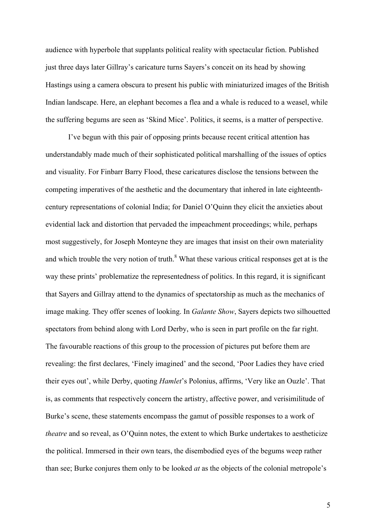audience with hyperbole that supplants political reality with spectacular fiction. Published just three days later Gillray's caricature turns Sayers's conceit on its head by showing Hastings using a camera obscura to present his public with miniaturized images of the British Indian landscape. Here, an elephant becomes a flea and a whale is reduced to a weasel, while the suffering begums are seen as 'Skind Mice'. Politics, it seems, is a matter of perspective.

I've begun with this pair of opposing prints because recent critical attention has understandably made much of their sophisticated political marshalling of the issues of optics and visuality. For Finbarr Barry Flood, these caricatures disclose the tensions between the competing imperatives of the aesthetic and the documentary that inhered in late eighteenthcentury representations of colonial India; for Daniel O'Quinn they elicit the anxieties about evidential lack and distortion that pervaded the impeachment proceedings; while, perhaps most suggestively, for Joseph Monteyne they are images that insist on their own materiality and which trouble the very notion of truth. $8$ <sup>8</sup> What these various critical responses get at is the way these prints' problematize the representedness of politics. In this regard, it is significant that Sayers and Gillray attend to the dynamics of spectatorship as much as the mechanics of image making. They offer scenes of looking. In *Galante Show*, Sayers depicts two silhouetted spectators from behind along with Lord Derby, who is seen in part profile on the far right. The favourable reactions of this group to the procession of pictures put before them are revealing: the first declares, 'Finely imagined' and the second, 'Poor Ladies they have cried their eyes out', while Derby, quoting *Hamlet*'s Polonius, affirms, 'Very like an Ouzle'. That is, as comments that respectively concern the artistry, affective power, and verisimilitude of Burke's scene, these statements encompass the gamut of possible responses to a work of *theatre* and so reveal, as O'Quinn notes, the extent to which Burke undertakes to aestheticize the political. Immersed in their own tears, the disembodied eyes of the begums weep rather than see; Burke conjures them only to be looked *at* as the objects of the colonial metropole's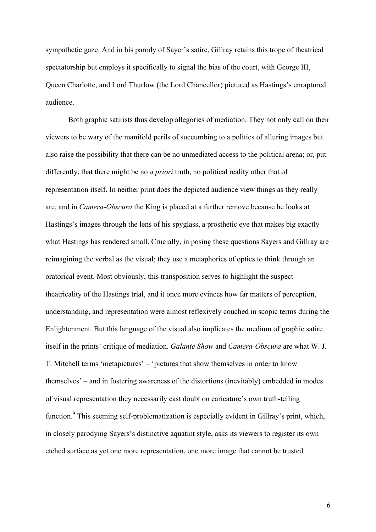sympathetic gaze. And in his parody of Sayer's satire, Gillray retains this trope of theatrical spectatorship but employs it specifically to signal the bias of the court, with George III, Queen Charlotte, and Lord Thurlow (the Lord Chancellor) pictured as Hastings's enraptured audience.

Both graphic satirists thus develop allegories of mediation. They not only call on their viewers to be wary of the manifold perils of succumbing to a politics of alluring images but also raise the possibility that there can be no unmediated access to the political arena; or, put differently, that there might be no *a priori* truth, no political reality other that of representation itself. In neither print does the depicted audience view things as they really are, and in *Camera-Obscura* the King is placed at a further remove because he looks at Hastings's images through the lens of his spyglass, a prosthetic eye that makes big exactly what Hastings has rendered small. Crucially, in posing these questions Sayers and Gillray are reimagining the verbal as the visual; they use a metaphorics of optics to think through an oratorical event. Most obviously, this transposition serves to highlight the suspect theatricality of the Hastings trial, and it once more evinces how far matters of perception, understanding, and representation were almost reflexively couched in scopic terms during the Enlightenment. But this language of the visual also implicates the medium of graphic satire itself in the prints' critique of mediation. *Galante Show* and *Camera-Obscura* are what W. J. T. Mitchell terms 'metapictures' – 'pictures that show themselves in order to know themselves' – and in fostering awareness of the distortions (inevitably) embedded in modes of visual representation they necessarily cast doubt on caricature's own truth-telling function.<sup>9</sup> This seeming self-problematization is especially evident in Gillray's print, which, in closely parodying Sayers's distinctive aquatint style, asks its viewers to register its own etched surface as yet one more representation, one more image that cannot be trusted.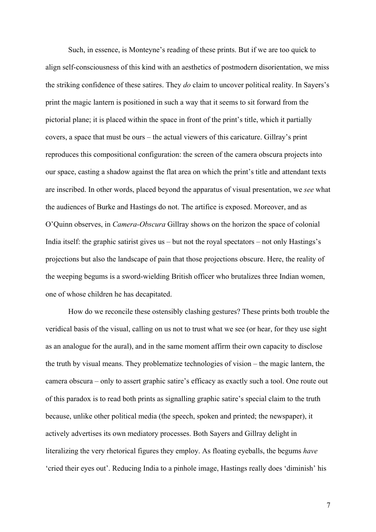Such, in essence, is Monteyne's reading of these prints. But if we are too quick to align self-consciousness of this kind with an aesthetics of postmodern disorientation, we miss the striking confidence of these satires. They *do* claim to uncover political reality. In Sayers's print the magic lantern is positioned in such a way that it seems to sit forward from the pictorial plane; it is placed within the space in front of the print's title, which it partially covers, a space that must be ours – the actual viewers of this caricature. Gillray's print reproduces this compositional configuration: the screen of the camera obscura projects into our space, casting a shadow against the flat area on which the print's title and attendant texts are inscribed. In other words, placed beyond the apparatus of visual presentation, we *see* what the audiences of Burke and Hastings do not. The artifice is exposed. Moreover, and as O'Quinn observes, in *Camera-Obscura* Gillray shows on the horizon the space of colonial India itself: the graphic satirist gives us – but not the royal spectators – not only Hastings's projections but also the landscape of pain that those projections obscure. Here, the reality of the weeping begums is a sword-wielding British officer who brutalizes three Indian women, one of whose children he has decapitated.

How do we reconcile these ostensibly clashing gestures? These prints both trouble the veridical basis of the visual, calling on us not to trust what we see (or hear, for they use sight as an analogue for the aural), and in the same moment affirm their own capacity to disclose the truth by visual means. They problematize technologies of vision – the magic lantern, the camera obscura – only to assert graphic satire's efficacy as exactly such a tool. One route out of this paradox is to read both prints as signalling graphic satire's special claim to the truth because, unlike other political media (the speech, spoken and printed; the newspaper), it actively advertises its own mediatory processes. Both Sayers and Gillray delight in literalizing the very rhetorical figures they employ. As floating eyeballs, the begums *have*  'cried their eyes out'. Reducing India to a pinhole image, Hastings really does 'diminish' his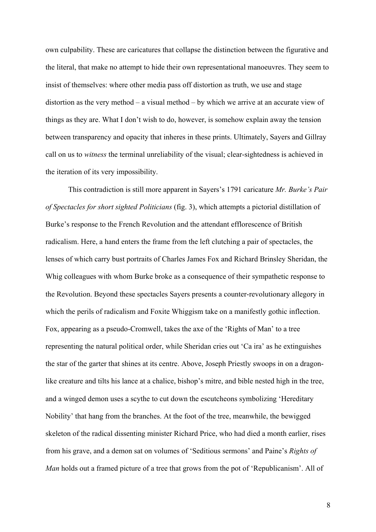own culpability. These are caricatures that collapse the distinction between the figurative and the literal, that make no attempt to hide their own representational manoeuvres. They seem to insist of themselves: where other media pass off distortion as truth, we use and stage distortion as the very method – a visual method – by which we arrive at an accurate view of things as they are. What I don't wish to do, however, is somehow explain away the tension between transparency and opacity that inheres in these prints. Ultimately, Sayers and Gillray call on us to *witness* the terminal unreliability of the visual; clear-sightedness is achieved in the iteration of its very impossibility.

This contradiction is still more apparent in Sayers's 1791 caricature *Mr. Burke's Pair of Spectacles for short sighted Politicians* (fig. 3), which attempts a pictorial distillation of Burke's response to the French Revolution and the attendant efflorescence of British radicalism. Here, a hand enters the frame from the left clutching a pair of spectacles, the lenses of which carry bust portraits of Charles James Fox and Richard Brinsley Sheridan, the Whig colleagues with whom Burke broke as a consequence of their sympathetic response to the Revolution. Beyond these spectacles Sayers presents a counter-revolutionary allegory in which the perils of radicalism and Foxite Whiggism take on a manifestly gothic inflection. Fox, appearing as a pseudo-Cromwell, takes the axe of the 'Rights of Man' to a tree representing the natural political order, while Sheridan cries out 'Ca ira' as he extinguishes the star of the garter that shines at its centre. Above, Joseph Priestly swoops in on a dragonlike creature and tilts his lance at a chalice, bishop's mitre, and bible nested high in the tree, and a winged demon uses a scythe to cut down the escutcheons symbolizing 'Hereditary Nobility' that hang from the branches. At the foot of the tree, meanwhile, the bewigged skeleton of the radical dissenting minister Richard Price, who had died a month earlier, rises from his grave, and a demon sat on volumes of 'Seditious sermons' and Paine's *Rights of Man* holds out a framed picture of a tree that grows from the pot of 'Republicanism'. All of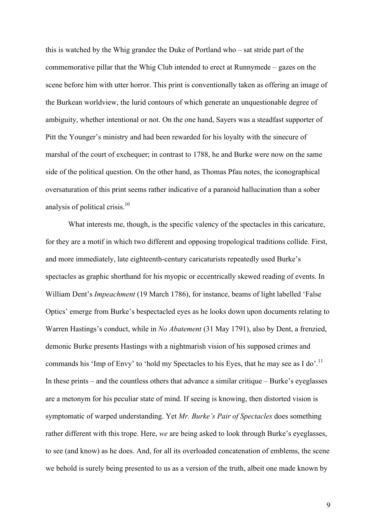this is watched by the Whig grandee the Duke of Portland who – sat stride part of the commemorative pillar that the Whig Club intended to erect at Runnymede – gazes on the scene before him with utter horror. This print is conventionally taken as offering an image of the Burkean worldview, the lurid contours of which generate an unquestionable degree of ambiguity, whether intentional or not. On the one hand, Sayers was a steadfast supporter of Pitt the Younger's ministry and had been rewarded for his loyalty with the sinecure of marshal of the court of exchequer; in contrast to 1788, he and Burke were now on the same side of the political question. On the other hand, as Thomas Pfau notes, the iconographical oversaturation of this print seems rather indicative of a paranoid hallucination than a sober analysis of political crisis.<sup>10</sup>

What interests me, though, is the specific valency of the spectacles in this caricature, for they are a motif in which two different and opposing tropological traditions collide. First, and more immediately, late eighteenth-century caricaturists repeatedly used Burke's spectacles as graphic shorthand for his myopic or eccentrically skewed reading of events. In William Dent's *Impeachment* (19 March 1786), for instance, beams of light labelled 'False Optics' emerge from Burke's bespectacled eyes as he looks down upon documents relating to Warren Hastings's conduct, while in *No Abatement* (31 May 1791), also by Dent, a frenzied, demonic Burke presents Hastings with a nightmarish vision of his supposed crimes and commands his 'Imp of Envy' to 'hold my Spectacles to his Eyes, that he may see as I do'.<sup>11</sup> In these prints – and the countless others that advance a similar critique – Burke's eyeglasses are a metonym for his peculiar state of mind. If seeing is knowing, then distorted vision is symptomatic of warped understanding. Yet *Mr. Burke's Pair of Spectacles* does something rather different with this trope. Here, *we* are being asked to look through Burke's eyeglasses, to see (and know) as he does. And, for all its overloaded concatenation of emblems, the scene we behold is surely being presented to us as a version of the truth, albeit one made known by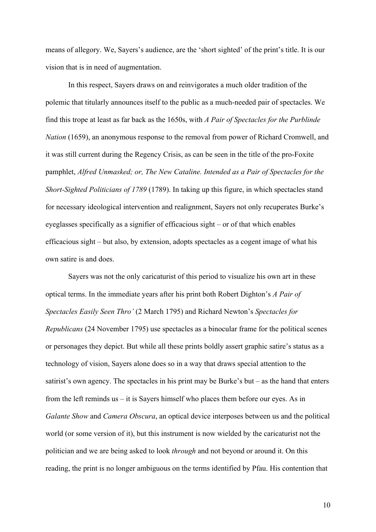means of allegory. We, Sayers's audience, are the 'short sighted' of the print's title. It is our vision that is in need of augmentation.

In this respect, Sayers draws on and reinvigorates a much older tradition of the polemic that titularly announces itself to the public as a much-needed pair of spectacles. We find this trope at least as far back as the 1650s, with *A Pair of Spectacles for the Purblinde Nation* (1659), an anonymous response to the removal from power of Richard Cromwell, and it was still current during the Regency Crisis, as can be seen in the title of the pro-Foxite pamphlet, *Alfred Unmasked; or, The New Cataline. Intended as a Pair of Spectacles for the Short-Sighted Politicians of 1789* (1789). In taking up this figure, in which spectacles stand for necessary ideological intervention and realignment, Sayers not only recuperates Burke's eyeglasses specifically as a signifier of efficacious sight – or of that which enables efficacious sight – but also, by extension, adopts spectacles as a cogent image of what his own satire is and does.

Sayers was not the only caricaturist of this period to visualize his own art in these optical terms. In the immediate years after his print both Robert Dighton's *A Pair of Spectacles Easily Seen Thro'* (2 March 1795) and Richard Newton's *Spectacles for Republicans* (24 November 1795) use spectacles as a binocular frame for the political scenes or personages they depict. But while all these prints boldly assert graphic satire's status as a technology of vision, Sayers alone does so in a way that draws special attention to the satirist's own agency. The spectacles in his print may be Burke's but – as the hand that enters from the left reminds us – it is Sayers himself who places them before our eyes. As in *Galante Show* and *Camera Obscura*, an optical device interposes between us and the political world (or some version of it), but this instrument is now wielded by the caricaturist not the politician and we are being asked to look *through* and not beyond or around it. On this reading, the print is no longer ambiguous on the terms identified by Pfau. His contention that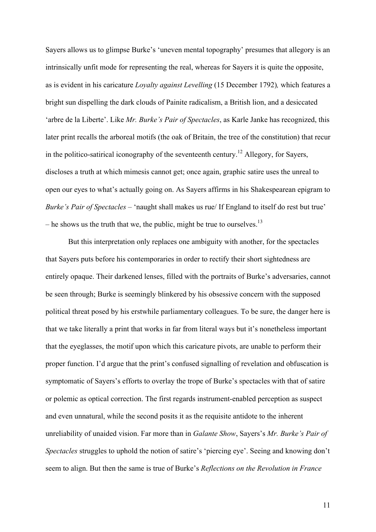Sayers allows us to glimpse Burke's 'uneven mental topography' presumes that allegory is an intrinsically unfit mode for representing the real, whereas for Sayers it is quite the opposite, as is evident in his caricature *Loyalty against Levelling* (15 December 1792)*,* which features a bright sun dispelling the dark clouds of Painite radicalism, a British lion, and a desiccated 'arbre de la Liberte'. Like *Mr. Burke's Pair of Spectacles*, as Karle Janke has recognized, this later print recalls the arboreal motifs (the oak of Britain, the tree of the constitution) that recur in the politico-satirical iconography of the seventeenth century.<sup>12</sup> Allegory, for Sayers, discloses a truth at which mimesis cannot get; once again, graphic satire uses the unreal to open our eyes to what's actually going on. As Sayers affirms in his Shakespearean epigram to *Burke's Pair of Spectacles* – 'naught shall makes us rue/ If England to itself do rest but true' – he shows us the truth that we, the public, might be true to ourselves.<sup>13</sup>

But this interpretation only replaces one ambiguity with another, for the spectacles that Sayers puts before his contemporaries in order to rectify their short sightedness are entirely opaque. Their darkened lenses, filled with the portraits of Burke's adversaries, cannot be seen through; Burke is seemingly blinkered by his obsessive concern with the supposed political threat posed by his erstwhile parliamentary colleagues. To be sure, the danger here is that we take literally a print that works in far from literal ways but it's nonetheless important that the eyeglasses, the motif upon which this caricature pivots, are unable to perform their proper function. I'd argue that the print's confused signalling of revelation and obfuscation is symptomatic of Sayers's efforts to overlay the trope of Burke's spectacles with that of satire or polemic as optical correction. The first regards instrument-enabled perception as suspect and even unnatural, while the second posits it as the requisite antidote to the inherent unreliability of unaided vision. Far more than in *Galante Show*, Sayers's *Mr. Burke's Pair of Spectacles* struggles to uphold the notion of satire's 'piercing eye'. Seeing and knowing don't seem to align. But then the same is true of Burke's *Reflections on the Revolution in France*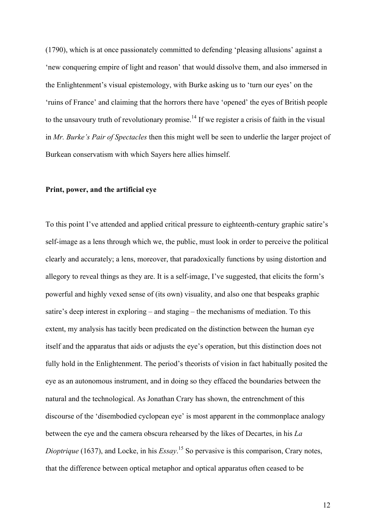(1790), which is at once passionately committed to defending 'pleasing allusions' against a 'new conquering empire of light and reason' that would dissolve them, and also immersed in the Enlightenment's visual epistemology, with Burke asking us to 'turn our eyes' on the 'ruins of France' and claiming that the horrors there have 'opened' the eyes of British people to the unsavoury truth of revolutionary promise.<sup>14</sup> If we register a crisis of faith in the visual in *Mr. Burke's Pair of Spectacles* then this might well be seen to underlie the larger project of Burkean conservatism with which Sayers here allies himself.

### **Print, power, and the artificial eye**

To this point I've attended and applied critical pressure to eighteenth-century graphic satire's self-image as a lens through which we, the public, must look in order to perceive the political clearly and accurately; a lens, moreover, that paradoxically functions by using distortion and allegory to reveal things as they are. It is a self-image, I've suggested, that elicits the form's powerful and highly vexed sense of (its own) visuality, and also one that bespeaks graphic satire's deep interest in exploring – and staging – the mechanisms of mediation. To this extent, my analysis has tacitly been predicated on the distinction between the human eye itself and the apparatus that aids or adjusts the eye's operation, but this distinction does not fully hold in the Enlightenment. The period's theorists of vision in fact habitually posited the eye as an autonomous instrument, and in doing so they effaced the boundaries between the natural and the technological. As Jonathan Crary has shown, the entrenchment of this discourse of the 'disembodied cyclopean eye' is most apparent in the commonplace analogy between the eye and the camera obscura rehearsed by the likes of Decartes, in his *La Dioptrique* (1637), and Locke, in his *Essay*. <sup>15</sup> So pervasive is this comparison, Crary notes, that the difference between optical metaphor and optical apparatus often ceased to be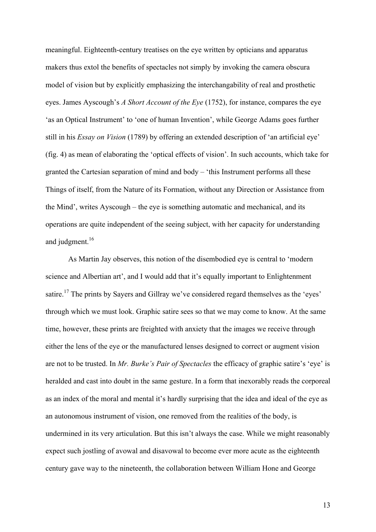meaningful. Eighteenth-century treatises on the eye written by opticians and apparatus makers thus extol the benefits of spectacles not simply by invoking the camera obscura model of vision but by explicitly emphasizing the interchangability of real and prosthetic eyes. James Ayscough's *A Short Account of the Eye* (1752), for instance, compares the eye 'as an Optical Instrument' to 'one of human Invention', while George Adams goes further still in his *Essay on Vision* (1789) by offering an extended description of 'an artificial eye' (fig. 4) as mean of elaborating the 'optical effects of vision'. In such accounts, which take for granted the Cartesian separation of mind and body – 'this Instrument performs all these Things of itself, from the Nature of its Formation, without any Direction or Assistance from the Mind', writes Ayscough – the eye is something automatic and mechanical, and its operations are quite independent of the seeing subject, with her capacity for understanding and judgment.<sup>16</sup>

As Martin Jay observes, this notion of the disembodied eye is central to 'modern science and Albertian art', and I would add that it's equally important to Enlightenment satire.<sup>17</sup> The prints by Sayers and Gillray we've considered regard themselves as the 'eyes' through which we must look. Graphic satire sees so that we may come to know. At the same time, however, these prints are freighted with anxiety that the images we receive through either the lens of the eye or the manufactured lenses designed to correct or augment vision are not to be trusted. In *Mr. Burke's Pair of Spectacles* the efficacy of graphic satire's 'eye' is heralded and cast into doubt in the same gesture. In a form that inexorably reads the corporeal as an index of the moral and mental it's hardly surprising that the idea and ideal of the eye as an autonomous instrument of vision, one removed from the realities of the body, is undermined in its very articulation. But this isn't always the case. While we might reasonably expect such jostling of avowal and disavowal to become ever more acute as the eighteenth century gave way to the nineteenth, the collaboration between William Hone and George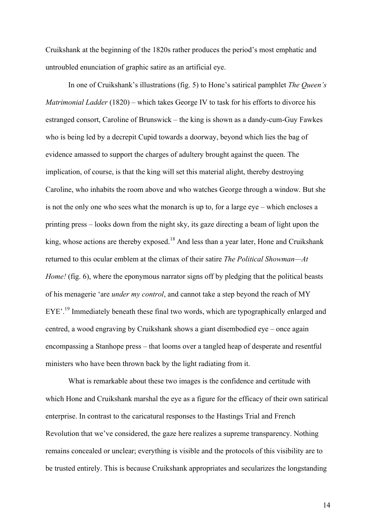Cruikshank at the beginning of the 1820s rather produces the period's most emphatic and untroubled enunciation of graphic satire as an artificial eye.

In one of Cruikshank's illustrations (fig. 5) to Hone's satirical pamphlet *The Queen's Matrimonial Ladder* (1820) – which takes George IV to task for his efforts to divorce his estranged consort, Caroline of Brunswick – the king is shown as a dandy-cum-Guy Fawkes who is being led by a decrepit Cupid towards a doorway, beyond which lies the bag of evidence amassed to support the charges of adultery brought against the queen. The implication, of course, is that the king will set this material alight, thereby destroying Caroline, who inhabits the room above and who watches George through a window. But she is not the only one who sees what the monarch is up to, for a large eye – which encloses a printing press – looks down from the night sky, its gaze directing a beam of light upon the king, whose actions are thereby exposed.<sup>18</sup> And less than a year later, Hone and Cruikshank returned to this ocular emblem at the climax of their satire *The Political Showman—At Home!* (fig. 6), where the eponymous narrator signs off by pledging that the political beasts of his menagerie 'are *under my control*, and cannot take a step beyond the reach of MY EYE'.<sup>19</sup> Immediately beneath these final two words, which are typographically enlarged and centred, a wood engraving by Cruikshank shows a giant disembodied eye – once again encompassing a Stanhope press – that looms over a tangled heap of desperate and resentful ministers who have been thrown back by the light radiating from it.

What is remarkable about these two images is the confidence and certitude with which Hone and Cruikshank marshal the eye as a figure for the efficacy of their own satirical enterprise. In contrast to the caricatural responses to the Hastings Trial and French Revolution that we've considered, the gaze here realizes a supreme transparency. Nothing remains concealed or unclear; everything is visible and the protocols of this visibility are to be trusted entirely. This is because Cruikshank appropriates and secularizes the longstanding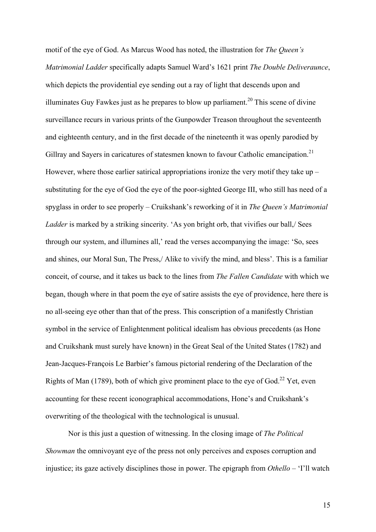motif of the eye of God. As Marcus Wood has noted, the illustration for *The Queen's Matrimonial Ladder* specifically adapts Samuel Ward's 1621 print *The Double Deliveraunce*, which depicts the providential eye sending out a ray of light that descends upon and illuminates Guy Fawkes just as he prepares to blow up parliament.<sup>20</sup> This scene of divine surveillance recurs in various prints of the Gunpowder Treason throughout the seventeenth and eighteenth century, and in the first decade of the nineteenth it was openly parodied by Gillray and Sayers in caricatures of statesmen known to favour Catholic emancipation.<sup>21</sup> However, where those earlier satirical appropriations ironize the very motif they take up – substituting for the eye of God the eye of the poor-sighted George III, who still has need of a spyglass in order to see properly – Cruikshank's reworking of it in *The Queen's Matrimonial Ladder* is marked by a striking sincerity. 'As yon bright orb, that vivifies our ball,/ Sees through our system, and illumines all,' read the verses accompanying the image: 'So, sees and shines, our Moral Sun, The Press,/ Alike to vivify the mind, and bless'. This is a familiar conceit, of course, and it takes us back to the lines from *The Fallen Candidate* with which we began, though where in that poem the eye of satire assists the eye of providence, here there is no all-seeing eye other than that of the press. This conscription of a manifestly Christian symbol in the service of Enlightenment political idealism has obvious precedents (as Hone and Cruikshank must surely have known) in the Great Seal of the United States (1782) and Jean-Jacques-François Le Barbier's famous pictorial rendering of the Declaration of the Rights of Man (1789), both of which give prominent place to the eye of God.<sup>22</sup> Yet, even accounting for these recent iconographical accommodations, Hone's and Cruikshank's overwriting of the theological with the technological is unusual.

Nor is this just a question of witnessing. In the closing image of *The Political Showman* the omnivoyant eye of the press not only perceives and exposes corruption and injustice; its gaze actively disciplines those in power. The epigraph from *Othello –* 'I'll watch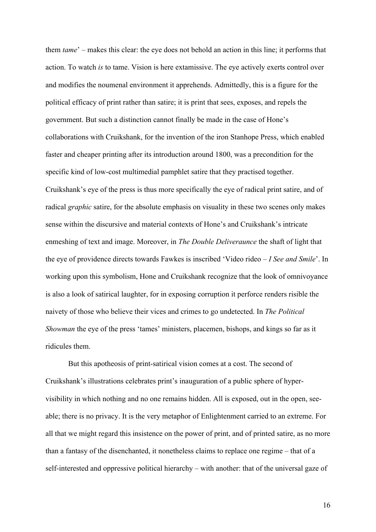them *tame*' – makes this clear: the eye does not behold an action in this line; it performs that action. To watch *is* to tame. Vision is here extamissive. The eye actively exerts control over and modifies the noumenal environment it apprehends. Admittedly, this is a figure for the political efficacy of print rather than satire; it is print that sees, exposes, and repels the government. But such a distinction cannot finally be made in the case of Hone's collaborations with Cruikshank, for the invention of the iron Stanhope Press, which enabled faster and cheaper printing after its introduction around 1800, was a precondition for the specific kind of low-cost multimedial pamphlet satire that they practised together. Cruikshank's eye of the press is thus more specifically the eye of radical print satire, and of radical *graphic* satire, for the absolute emphasis on visuality in these two scenes only makes sense within the discursive and material contexts of Hone's and Cruikshank's intricate enmeshing of text and image. Moreover, in *The Double Deliveraunce* the shaft of light that the eye of providence directs towards Fawkes is inscribed 'Video rideo – *I See and Smile*'. In working upon this symbolism, Hone and Cruikshank recognize that the look of omnivoyance is also a look of satirical laughter, for in exposing corruption it perforce renders risible the naivety of those who believe their vices and crimes to go undetected. In *The Political Showman* the eye of the press 'tames' ministers, placemen, bishops, and kings so far as it ridicules them.

But this apotheosis of print-satirical vision comes at a cost. The second of Cruikshank's illustrations celebrates print's inauguration of a public sphere of hypervisibility in which nothing and no one remains hidden. All is exposed, out in the open, seeable; there is no privacy. It is the very metaphor of Enlightenment carried to an extreme. For all that we might regard this insistence on the power of print, and of printed satire, as no more than a fantasy of the disenchanted, it nonetheless claims to replace one regime – that of a self-interested and oppressive political hierarchy – with another: that of the universal gaze of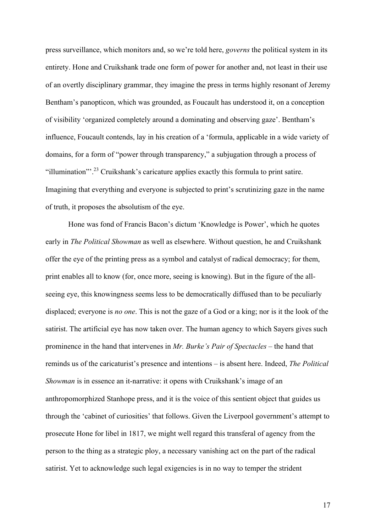press surveillance, which monitors and, so we're told here, *governs* the political system in its entirety. Hone and Cruikshank trade one form of power for another and, not least in their use of an overtly disciplinary grammar, they imagine the press in terms highly resonant of Jeremy Bentham's panopticon, which was grounded, as Foucault has understood it, on a conception of visibility 'organized completely around a dominating and observing gaze'. Bentham's influence, Foucault contends, lay in his creation of a 'formula, applicable in a wide variety of domains, for a form of "power through transparency," a subjugation through a process of "illumination"<sup>23</sup> Cruikshank's caricature applies exactly this formula to print satire. Imagining that everything and everyone is subjected to print's scrutinizing gaze in the name of truth, it proposes the absolutism of the eye.

Hone was fond of Francis Bacon's dictum 'Knowledge is Power', which he quotes early in *The Political Showman* as well as elsewhere. Without question, he and Cruikshank offer the eye of the printing press as a symbol and catalyst of radical democracy; for them, print enables all to know (for, once more, seeing is knowing). But in the figure of the allseeing eye, this knowingness seems less to be democratically diffused than to be peculiarly displaced; everyone is *no one*. This is not the gaze of a God or a king; nor is it the look of the satirist. The artificial eye has now taken over. The human agency to which Sayers gives such prominence in the hand that intervenes in *Mr. Burke's Pair of Spectacles* – the hand that reminds us of the caricaturist's presence and intentions – is absent here. Indeed, *The Political Showman* is in essence an it-narrative: it opens with Cruikshank's image of an anthropomorphized Stanhope press, and it is the voice of this sentient object that guides us through the 'cabinet of curiosities' that follows. Given the Liverpool government's attempt to prosecute Hone for libel in 1817, we might well regard this transferal of agency from the person to the thing as a strategic ploy, a necessary vanishing act on the part of the radical satirist. Yet to acknowledge such legal exigencies is in no way to temper the strident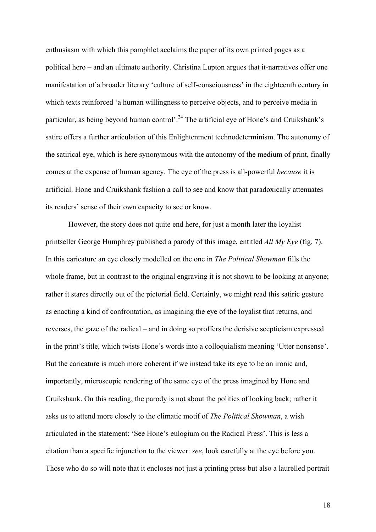enthusiasm with which this pamphlet acclaims the paper of its own printed pages as a political hero – and an ultimate authority. Christina Lupton argues that it-narratives offer one manifestation of a broader literary 'culture of self-consciousness' in the eighteenth century in which texts reinforced 'a human willingness to perceive objects, and to perceive media in particular, as being beyond human control'.<sup>24</sup> The artificial eye of Hone's and Cruikshank's satire offers a further articulation of this Enlightenment technodeterminism. The autonomy of the satirical eye, which is here synonymous with the autonomy of the medium of print, finally comes at the expense of human agency. The eye of the press is all-powerful *because* it is artificial. Hone and Cruikshank fashion a call to see and know that paradoxically attenuates its readers' sense of their own capacity to see or know.

However, the story does not quite end here, for just a month later the loyalist printseller George Humphrey published a parody of this image, entitled *All My Eye* (fig. 7). In this caricature an eye closely modelled on the one in *The Political Showman* fills the whole frame, but in contrast to the original engraving it is not shown to be looking at anyone; rather it stares directly out of the pictorial field. Certainly, we might read this satiric gesture as enacting a kind of confrontation, as imagining the eye of the loyalist that returns, and reverses, the gaze of the radical – and in doing so proffers the derisive scepticism expressed in the print's title, which twists Hone's words into a colloquialism meaning 'Utter nonsense'. But the caricature is much more coherent if we instead take its eye to be an ironic and, importantly, microscopic rendering of the same eye of the press imagined by Hone and Cruikshank. On this reading, the parody is not about the politics of looking back; rather it asks us to attend more closely to the climatic motif of *The Political Showman*, a wish articulated in the statement: 'See Hone's eulogium on the Radical Press'. This is less a citation than a specific injunction to the viewer: *see*, look carefully at the eye before you. Those who do so will note that it encloses not just a printing press but also a laurelled portrait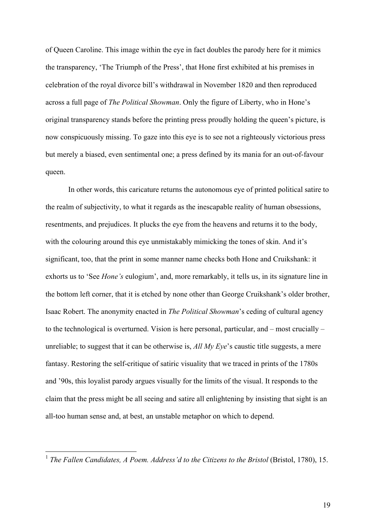of Queen Caroline. This image within the eye in fact doubles the parody here for it mimics the transparency, 'The Triumph of the Press', that Hone first exhibited at his premises in celebration of the royal divorce bill's withdrawal in November 1820 and then reproduced across a full page of *The Political Showman*. Only the figure of Liberty, who in Hone's original transparency stands before the printing press proudly holding the queen's picture, is now conspicuously missing. To gaze into this eye is to see not a righteously victorious press but merely a biased, even sentimental one; a press defined by its mania for an out-of-favour queen.

In other words, this caricature returns the autonomous eye of printed political satire to the realm of subjectivity, to what it regards as the inescapable reality of human obsessions, resentments, and prejudices. It plucks the eye from the heavens and returns it to the body, with the colouring around this eye unmistakably mimicking the tones of skin. And it's significant, too, that the print in some manner name checks both Hone and Cruikshank: it exhorts us to 'See *Hone's* eulogium', and, more remarkably, it tells us, in its signature line in the bottom left corner, that it is etched by none other than George Cruikshank's older brother, Isaac Robert. The anonymity enacted in *The Political Showman*'s ceding of cultural agency to the technological is overturned. Vision is here personal, particular, and – most crucially – unreliable; to suggest that it can be otherwise is, *All My Eye*'s caustic title suggests, a mere fantasy. Restoring the self-critique of satiric visuality that we traced in prints of the 1780s and '90s, this loyalist parody argues visually for the limits of the visual. It responds to the claim that the press might be all seeing and satire all enlightening by insisting that sight is an all-too human sense and, at best, an unstable metaphor on which to depend.

<sup>&</sup>lt;sup>1</sup> *The Fallen Candidates, A Poem. Address'd to the Citizens to the Bristol* (Bristol, 1780), 15.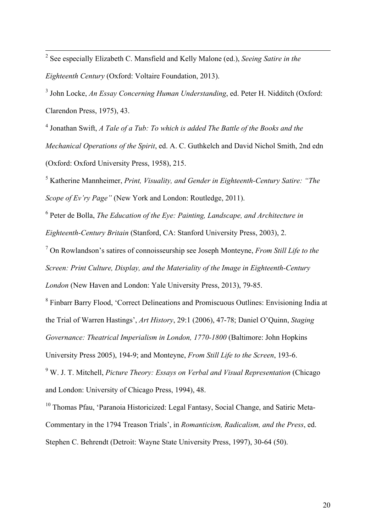2 See especially Elizabeth C. Mansfield and Kelly Malone (ed.), *Seeing Satire in the Eighteenth Century* (Oxford: Voltaire Foundation, 2013).

<sup>3</sup> John Locke, *An Essay Concerning Human Understanding*, ed. Peter H. Nidditch (Oxford: Clarendon Press, 1975), 43.

<sup>4</sup> Jonathan Swift, *A Tale of a Tub: To which is added The Battle of the Books and the Mechanical Operations of the Spirit*, ed. A. C. Guthkelch and David Nichol Smith, 2nd edn (Oxford: Oxford University Press, 1958), 215.

<sup>5</sup> Katherine Mannheimer, *Print, Visuality, and Gender in Eighteenth-Century Satire: "The Scope of Ev'ry Page"* (New York and London: Routledge, 2011).

<sup>6</sup> Peter de Bolla, *The Education of the Eye: Painting, Landscape, and Architecture in Eighteenth-Century Britain* (Stanford, CA: Stanford University Press, 2003), 2.

<sup>7</sup> On Rowlandson's satires of connoisseurship see Joseph Monteyne, *From Still Life to the Screen: Print Culture, Display, and the Materiality of the Image in Eighteenth-Century London* (New Haven and London: Yale University Press, 2013), 79-85.

<sup>8</sup> Finbarr Barry Flood, 'Correct Delineations and Promiscuous Outlines: Envisioning India at the Trial of Warren Hastings', *Art History*, 29:1 (2006), 47-78; Daniel O'Quinn, *Staging Governance: Theatrical Imperialism in London, 1770-1800* (Baltimore: John Hopkins University Press 2005), 194-9; and Monteyne, *From Still Life to the Screen*, 193-6. <sup>9</sup> W. J. T. Mitchell, *Picture Theory: Essays on Verbal and Visual Representation* (Chicago

and London: University of Chicago Press, 1994), 48.

<sup>10</sup> Thomas Pfau, 'Paranoia Historicized: Legal Fantasy, Social Change, and Satiric Meta-Commentary in the 1794 Treason Trials', in *Romanticism, Radicalism, and the Press*, ed. Stephen C. Behrendt (Detroit: Wayne State University Press, 1997), 30-64 (50).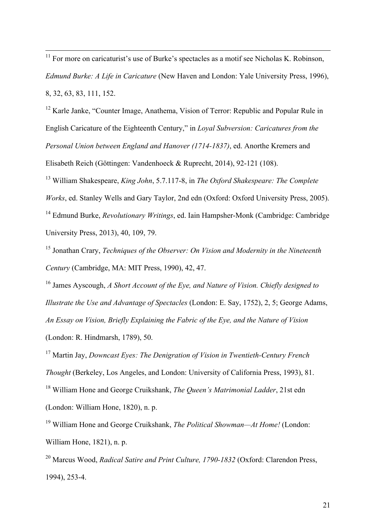$11$  For more on caricaturist's use of Burke's spectacles as a motif see Nicholas K. Robinson, *Edmund Burke: A Life in Caricature* (New Haven and London: Yale University Press, 1996), 8, 32, 63, 83, 111, 152.

<sup>12</sup> Karle Janke, "Counter Image, Anathema, Vision of Terror: Republic and Popular Rule in English Caricature of the Eighteenth Century," in *Loyal Subversion: Caricatures from the Personal Union between England and Hanover (1714-1837)*, ed. Anorthe Kremers and Elisabeth Reich (Göttingen: Vandenhoeck & Ruprecht, 2014), 92-121 (108).

<sup>13</sup> William Shakespeare, *King John*, 5.7.117-8, in *The Oxford Shakespeare: The Complete Works*, ed. Stanley Wells and Gary Taylor, 2nd edn (Oxford: Oxford University Press, 2005). <sup>14</sup> Edmund Burke, *Revolutionary Writings*, ed. Iain Hampsher-Monk (Cambridge: Cambridge University Press, 2013), 40, 109, 79.

<sup>15</sup> Jonathan Crary, *Techniques of the Observer: On Vision and Modernity in the Nineteenth Century* (Cambridge, MA: MIT Press, 1990), 42, 47.

<sup>16</sup> James Ayscough, *A Short Account of the Eye, and Nature of Vision. Chiefly designed to Illustrate the Use and Advantage of Spectacles* (London: E. Say, 1752), 2, 5; George Adams, *An Essay on Vision, Briefly Explaining the Fabric of the Eye, and the Nature of Vision* (London: R. Hindmarsh, 1789), 50.

<sup>17</sup> Martin Jay, *Downcast Eyes: The Denigration of Vision in Twentieth-Century French Thought* (Berkeley, Los Angeles, and London: University of California Press, 1993), 81. <sup>18</sup> William Hone and George Cruikshank, *The Queen's Matrimonial Ladder*, 21st edn (London: William Hone, 1820), n. p.

<sup>19</sup> William Hone and George Cruikshank, *The Political Showman—At Home!* (London: William Hone, 1821), n. p.

<sup>20</sup> Marcus Wood, *Radical Satire and Print Culture, 1790-1832* (Oxford: Clarendon Press, 1994), 253-4.